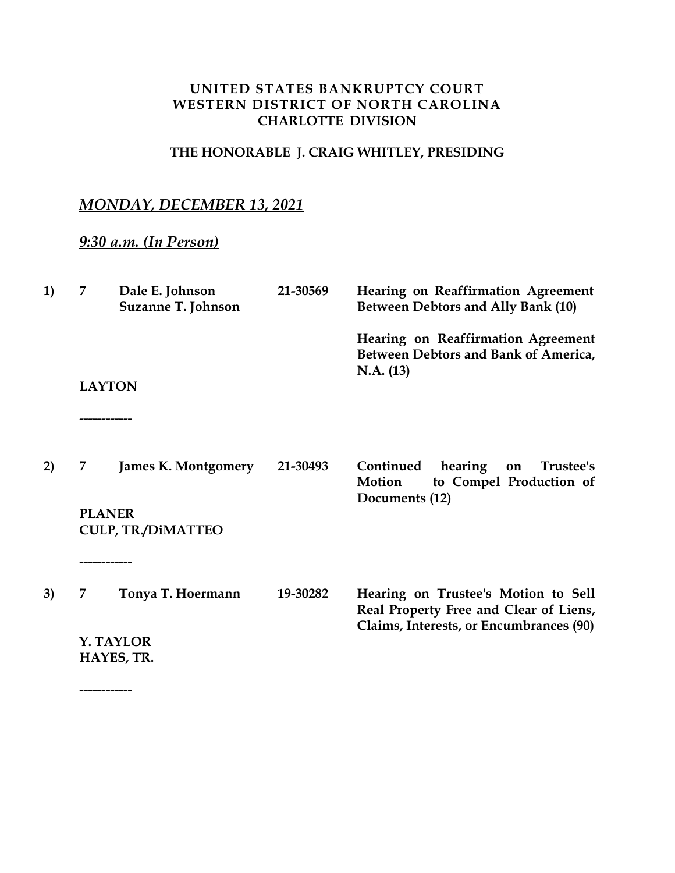## **UNITED STATES BANKRUPTCY COURT WESTERN DISTRICT OF NORTH CAROLINA CHARLOTTE DIVISION**

## **THE HONORABLE J. CRAIG WHITLEY, PRESIDING**

## *MONDAY, DECEMBER 13, 2021*

## *9:30 a.m. (In Person)*

**------------**

| 1) | 7                       | Dale E. Johnson<br>Suzanne T. Johnson | 21-30569 | Hearing on Reaffirmation Agreement<br>Between Debtors and Ally Bank (10)                |
|----|-------------------------|---------------------------------------|----------|-----------------------------------------------------------------------------------------|
|    |                         |                                       |          | Hearing on Reaffirmation Agreement<br>Between Debtors and Bank of America,<br>N.A. (13) |
|    | <b>LAYTON</b>           |                                       |          |                                                                                         |
|    | ------------            |                                       |          |                                                                                         |
| 2) | 7                       | <b>James K. Montgomery</b>            | 21-30493 | Continued<br>hearing<br>Trustee's<br>on<br>to Compel Production of<br>Motion            |
|    | <b>PLANER</b>           | <b>CULP, TR./DIMATTEO</b>             |          | Documents (12)                                                                          |
|    | ---------               |                                       |          |                                                                                         |
| 3) | 7                       | Tonya T. Hoermann                     | 19-30282 | Hearing on Trustee's Motion to Sell<br>Real Property Free and Clear of Liens,           |
|    | Y. TAYLOR<br>HAYES, TR. |                                       |          | Claims, Interests, or Encumbrances (90)                                                 |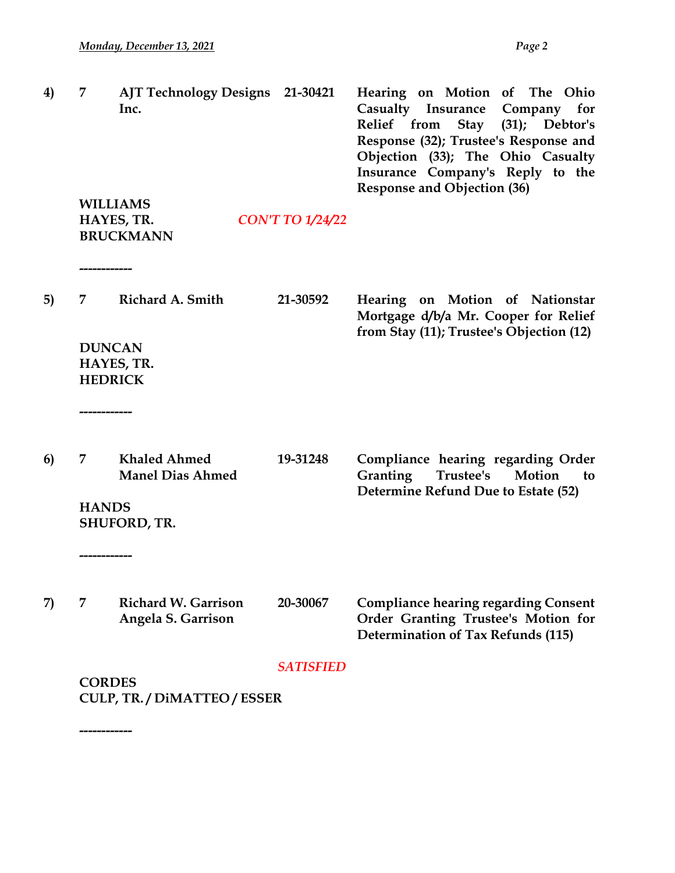**------------**

| 4) | 7                                   | AJT Technology Designs 21-30421<br>Inc.          |                                          | Hearing on Motion of The Ohio<br>Casualty Insurance<br>Company<br>for<br>Relief from Stay<br>$(31);$ Debtor's<br>Response (32); Trustee's Response and<br>Objection (33); The Ohio Casualty<br>Insurance Company's Reply to the<br><b>Response and Objection (36)</b> |  |  |  |
|----|-------------------------------------|--------------------------------------------------|------------------------------------------|-----------------------------------------------------------------------------------------------------------------------------------------------------------------------------------------------------------------------------------------------------------------------|--|--|--|
|    |                                     | <b>WILLIAMS</b>                                  |                                          |                                                                                                                                                                                                                                                                       |  |  |  |
|    |                                     | HAYES, TR.<br><b>BRUCKMANN</b>                   | <b>CON'T TO 1/24/22</b>                  |                                                                                                                                                                                                                                                                       |  |  |  |
| 5) | -----------------<br>7              | Richard A. Smith                                 | 21-30592                                 | Hearing on Motion of Nationstar                                                                                                                                                                                                                                       |  |  |  |
|    |                                     |                                                  |                                          | Mortgage d/b/a Mr. Cooper for Relief                                                                                                                                                                                                                                  |  |  |  |
|    | <b>DUNCAN</b><br><b>HEDRICK</b>     | HAYES, TR.                                       | from Stay (11); Trustee's Objection (12) |                                                                                                                                                                                                                                                                       |  |  |  |
|    | ----------------                    |                                                  |                                          |                                                                                                                                                                                                                                                                       |  |  |  |
| 6) | 7                                   | <b>Khaled Ahmed</b><br><b>Manel Dias Ahmed</b>   | 19-31248                                 | Compliance hearing regarding Order<br>Granting<br>Trustee's<br>Motion<br>to<br>Determine Refund Due to Estate (52)                                                                                                                                                    |  |  |  |
|    | <b>HANDS</b><br><b>SHUFORD, TR.</b> |                                                  |                                          |                                                                                                                                                                                                                                                                       |  |  |  |
|    | ------------                        |                                                  |                                          |                                                                                                                                                                                                                                                                       |  |  |  |
| 7) | 7                                   | <b>Richard W. Garrison</b><br>Angela S. Garrison | 20-30067                                 | <b>Compliance hearing regarding Consent</b><br>Order Granting Trustee's Motion for<br><b>Determination of Tax Refunds (115)</b>                                                                                                                                       |  |  |  |
|    |                                     |                                                  | <b>SATISFIED</b>                         |                                                                                                                                                                                                                                                                       |  |  |  |
|    | <b>CORDES</b>                       |                                                  |                                          |                                                                                                                                                                                                                                                                       |  |  |  |
|    |                                     | <b>CULP, TR. / DIMATTEO / ESSER</b>              |                                          |                                                                                                                                                                                                                                                                       |  |  |  |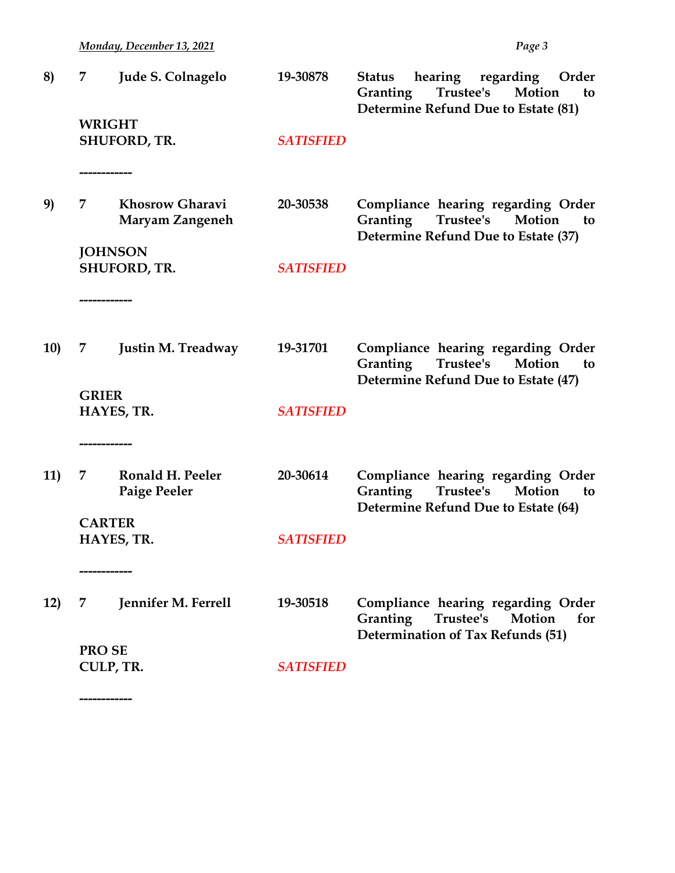*Monday, December 13, 2021 Page 3*

**------------**

| 8)         | 7<br><b>WRIGHT</b>        | Jude S. Colnagelo                         | 19-30878         | hearing regarding<br>Order<br><b>Status</b><br>Trustee's Motion<br>Granting<br>to<br>Determine Refund Due to Estate (81)  |
|------------|---------------------------|-------------------------------------------|------------------|---------------------------------------------------------------------------------------------------------------------------|
|            | ----------                | <b>SHUFORD, TR.</b>                       | <b>SATISFIED</b> |                                                                                                                           |
| 9)         | 7<br><b>JOHNSON</b>       | <b>Khosrow Gharavi</b><br>Maryam Zangeneh | 20-30538         | Compliance hearing regarding Order<br>Trustee's<br>Granting<br>Motion<br>to<br>Determine Refund Due to Estate (37)        |
|            |                           | <b>SHUFORD, TR.</b>                       | <b>SATISFIED</b> |                                                                                                                           |
| <b>10)</b> | 7                         | <b>Justin M. Treadway</b>                 | 19-31701         | Compliance hearing regarding Order<br>Trustee's Motion<br>Granting<br>to<br>Determine Refund Due to Estate (47)           |
|            | <b>GRIER</b><br>--------- | HAYES, TR.                                | <b>SATISFIED</b> |                                                                                                                           |
| 11)        | 7                         | Ronald H. Peeler<br>Paige Peeler          | 20-30614         | Compliance hearing regarding Order<br><b>Granting</b><br>Trustee's<br>Motion<br>to<br>Determine Refund Due to Estate (64) |
|            | <b>CARTER</b>             | HAYES, TR.                                | <b>SATISFIED</b> |                                                                                                                           |
| 12)        | 7                         | Jennifer M. Ferrell                       | 19-30518         | Compliance hearing regarding Order<br>Granting<br>Trustee's<br>Motion<br>for<br>Determination of Tax Refunds (51)         |
|            | <b>PROSE</b><br>CULP, TR. |                                           | <b>SATISFIED</b> |                                                                                                                           |